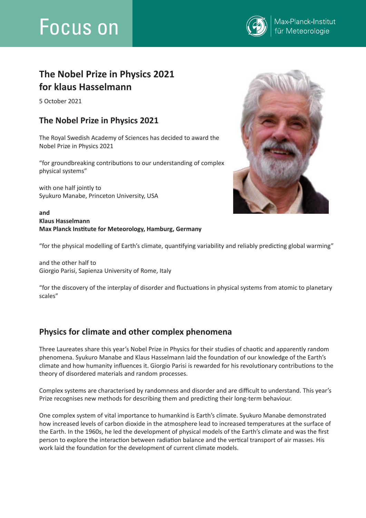# Focus on



## **The Nobel Prize in Physics 2021 for klaus Hasselmann**

5 October 2021

## **The Nobel Prize in Physics 2021**

The Royal Swedish Academy of Sciences has decided to award the Nobel Prize in Physics 2021

"for groundbreaking contributions to our understanding of complex physical systems"

with one half jointly to Syukuro Manabe, Princeton University, USA

#### **and Klaus Hasselmann Max Planck Institute for Meteorology, Hamburg, Germany**



"for the physical modelling of Earth's climate, quantifying variability and reliably predicting global warming"

and the other half to Giorgio Parisi, Sapienza University of Rome, Italy

"for the discovery of the interplay of disorder and fluctuations in physical systems from atomic to planetary scales"

## **Physics for climate and other complex phenomena**

Three Laureates share this year's Nobel Prize in Physics for their studies of chaotic and apparently random phenomena. Syukuro Manabe and Klaus Hasselmann laid the foundation of our knowledge of the Earth's climate and how humanity influences it. Giorgio Parisi is rewarded for his revolutionary contributions to the theory of disordered materials and random processes.

Complex systems are characterised by randomness and disorder and are difficult to understand. This year's Prize recognises new methods for describing them and predicting their long-term behaviour.

One complex system of vital importance to humankind is Earth's climate. Syukuro Manabe demonstrated how increased levels of carbon dioxide in the atmosphere lead to increased temperatures at the surface of the Earth. In the 1960s, he led the development of physical models of the Earth's climate and was the first person to explore the interaction between radiation balance and the vertical transport of air masses. His work laid the foundation for the development of current climate models.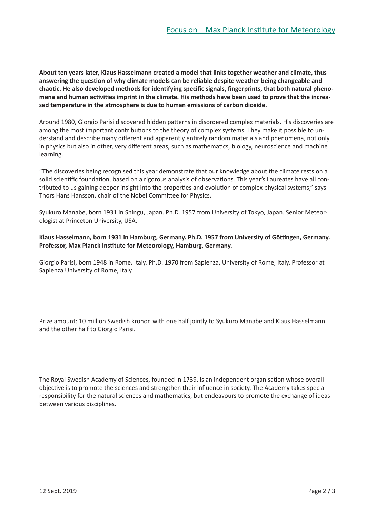**About ten years later, Klaus Hasselmann created a model that links together weather and climate, thus answering the question of why climate models can be reliable despite weather being changeable and chaotic. He also developed methods for identifying specific signals, fingerprints, that both natural phenomena and human activities imprint in the climate. His methods have been used to prove that the increased temperature in the atmosphere is due to human emissions of carbon dioxide.**

Around 1980, Giorgio Parisi discovered hidden patterns in disordered complex materials. His discoveries are among the most important contributions to the theory of complex systems. They make it possible to understand and describe many different and apparently entirely random materials and phenomena, not only in physics but also in other, very different areas, such as mathematics, biology, neuroscience and machine learning.

"The discoveries being recognised this year demonstrate that our knowledge about the climate rests on a solid scientific foundation, based on a rigorous analysis of observations. This year's Laureates have all contributed to us gaining deeper insight into the properties and evolution of complex physical systems," says Thors Hans Hansson, chair of the Nobel Committee for Physics.

Syukuro Manabe, born 1931 in Shingu, Japan. Ph.D. 1957 from University of Tokyo, Japan. Senior Meteorologist at Princeton University, USA.

#### **Klaus Hasselmann, born 1931 in Hamburg, Germany. Ph.D. 1957 from University of Göttingen, Germany. Professor, Max Planck Institute for Meteorology, Hamburg, Germany.**

Giorgio Parisi, born 1948 in Rome. Italy. Ph.D. 1970 from Sapienza, University of Rome, Italy. Professor at Sapienza University of Rome, Italy.

Prize amount: 10 million Swedish kronor, with one half jointly to Syukuro Manabe and Klaus Hasselmann and the other half to Giorgio Parisi.

The Royal Swedish Academy of Sciences, founded in 1739, is an independent organisation whose overall objective is to promote the sciences and strengthen their influence in society. The Academy takes special responsibility for the natural sciences and mathematics, but endeavours to promote the exchange of ideas between various disciplines.